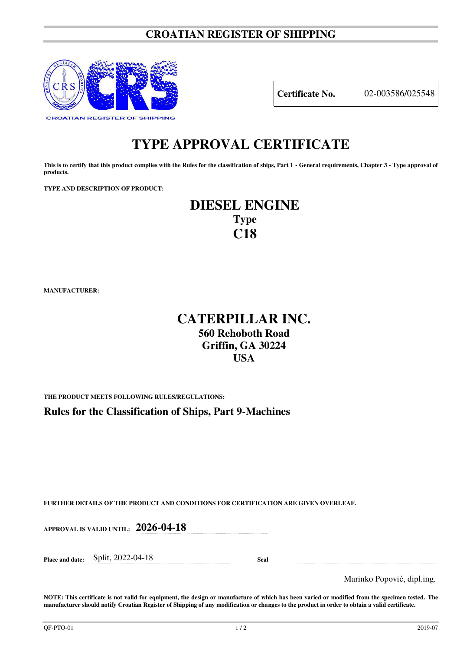## **CROATIAN REGISTER OF SHIPPING**



**Certificate No.** 02-003586/025548

# **TYPE APPROVAL CERTIFICATE**

**This is to certify that this product complies with the Rules for the classification of ships, Part 1 - General requirements, Chapter 3 - Type approval of products.** 

**TYPE AND DESCRIPTION OF PRODUCT:** 

## **DIESEL ENGINE Type C18**

**MANUFACTURER:**

## **CATERPILLAR INC. 560 Rehoboth Road Griffin, GA 30224 USA**

**THE PRODUCT MEETS FOLLOWING RULES/REGULATIONS:**

**Rules for the Classification of Ships, Part 9-Machines**

**FURTHER DETAILS OF THE PRODUCT AND CONDITIONS FOR CERTIFICATION ARE GIVEN OVERLEAF.**

**APPROVAL IS VALID UNTIL: 2026-04-18**

**Place and date:** Split, 2022-04-18 **Seal** 

Marinko Popović, dipl.ing.

**NOTE: This certificate is not valid for equipment, the design or manufacture of which has been varied or modified from the specimen tested. The manufacturer should notify Croatian Register of Shipping of any modification or changes to the product in order to obtain a valid certificate.**